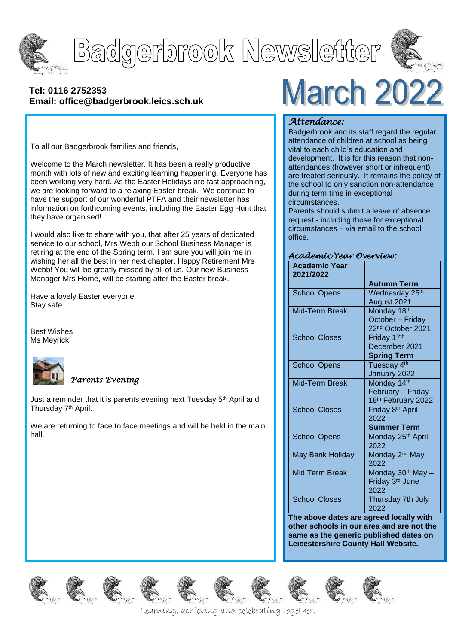

# Badgerbrook Newsletter



#### **[Tel: 0116](tel:0116) 2752353 Email: office@badgerbrook.leics.sch.uk**

To all our Badgerbrook families and friends,

Welcome to the March newsletter. It has been a really productive month with lots of new and exciting learning happening. Everyone has been working very hard. As the Easter Holidays are fast approaching, we are looking forward to a relaxing Easter break. We continue to have the support of our wonderful PTFA and their newsletter has information on forthcoming events, including the Easter Egg Hunt that they have organised!

I would also like to share with you, that after 25 years of dedicated service to our school, Mrs Webb our School Business Manager is retiring at the end of the Spring term. I am sure you will join me in wishing her all the best in her next chapter. Happy Retirement Mrs Webb! You will be greatly missed by all of us. Our new Business Manager Mrs Horne, will be starting after the Easter break.

Have a lovely Easter everyone. Stay safe.

Best Wishes Ms Meyrick



#### *Parents Evening*

Just a reminder that it is parents evening next Tuesday 5<sup>th</sup> April and Thursday 7<sup>th</sup> April.

We are returning to face to face meetings and will be held in the main hall.

# **March 2022**

#### *Attendance:*

Badgerbrook and its staff regard the regular attendance of children at school as being vital to each child's education and development. It is for this reason that nonattendances (however short or infrequent) are treated seriously. It remains the policy of the school to only sanction non-attendance during term time in exceptional circumstances.

Parents should submit a leave of absence request - including those for exceptional circumstances – via email to the school office.

#### *Academic Year Overview:*

| <b>Academic Year</b><br>2021/2022 |                               |
|-----------------------------------|-------------------------------|
|                                   | <b>Autumn Term</b>            |
| <b>School Opens</b>               | Wednesday 25th                |
|                                   | August 2021                   |
| Mid-Term Break                    | Monday 18th                   |
|                                   | October - Friday              |
|                                   | 22 <sup>nd</sup> October 2021 |
| <b>School Closes</b>              | Friday 17th                   |
|                                   | December 2021                 |
|                                   | <b>Spring Term</b>            |
| <b>School Opens</b>               | Tuesday 4th                   |
|                                   | January 2022                  |
| Mid-Term Break                    | Monday 14th                   |
|                                   | February - Friday             |
|                                   | 18th February 2022            |
| <b>School Closes</b>              | Friday 8 <sup>th</sup> April  |
|                                   | 2022                          |
|                                   | Summer Term                   |
| <b>School Opens</b>               | Monday 25th April             |
|                                   | 2022                          |
| May Bank Holiday                  | Monday 2 <sup>nd</sup> May    |
|                                   | 2022                          |
| Mid Term Break                    | Monday 30th May -             |
|                                   | Friday 3rd June               |
|                                   | 2022                          |
| <b>School Closes</b>              | Thursday 7th July             |
|                                   | 2022                          |

**The above dates are agreed locally with other schools in our area and are not the same as the generic published dates on Leicestershire County Hall Website.**















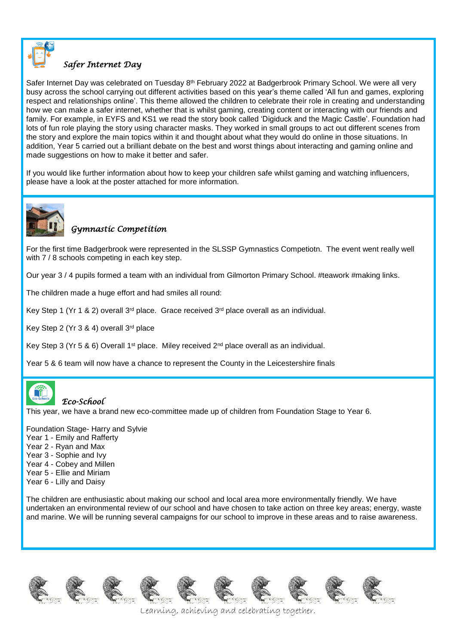

### *Safer Internet Day*

Safer Internet Day was celebrated on Tuesday 8<sup>th</sup> February 2022 at Badgerbrook Primary School. We were all very busy across the school carrying out different activities based on this year's theme called 'All fun and games, exploring respect and relationships online'. This theme allowed the children to celebrate their role in creating and understanding how we can make a safer internet, whether that is whilst gaming, creating content or interacting with our friends and family. For example, in EYFS and KS1 we read the story book called 'Digiduck and the Magic Castle'. Foundation had lots of fun role playing the story using character masks. They worked in small groups to act out different scenes from the story and explore the main topics within it and thought about what they would do online in those situations. In addition, Year 5 carried out a brilliant debate on the best and worst things about interacting and gaming online and made suggestions on how to make it better and safer.

If you would like further information about how to keep your children safe whilst gaming and watching influencers, please have a look at the poster attached for more information.



### *Gymnastic Competition*

For the first time Badgerbrook were represented in the SLSSP Gymnastics Competiotn. The event went really well with 7 / 8 schools competing in each key step.

Our year 3 / 4 pupils formed a team with an individual from Gilmorton Primary School. #teawork #making links.

The children made a huge effort and had smiles all round:

Key Step 1 (Yr 1 & 2) overall  $3^{rd}$  place. Grace received  $3^{rd}$  place overall as an individual.

Key Step 2 (Yr 3 & 4) overall 3rd place

Key Step 3 (Yr 5 & 6) Overall 1<sup>st</sup> place. Miley received  $2<sup>nd</sup>$  place overall as an individual.

Year 5 & 6 team will now have a chance to represent the County in the Leicestershire finals



#### *Eco-School*

This year, we have a brand new eco-committee made up of children from Foundation Stage to Year 6.

Foundation Stage- Harry and Sylvie

- Year 1 Emily and Rafferty
- Year 2 Ryan and Max
- Year 3 Sophie and Ivy
- Year 4 Cobey and Millen
- Year 5 Ellie and Miriam
- Year 6 Lilly and Daisy

The children are enthusiastic about making our school and local area more environmentally friendly. We have undertaken an environmental review of our school and have chosen to take action on three key areas; energy, waste and marine. We will be running several campaigns for our school to improve in these areas and to raise awareness.















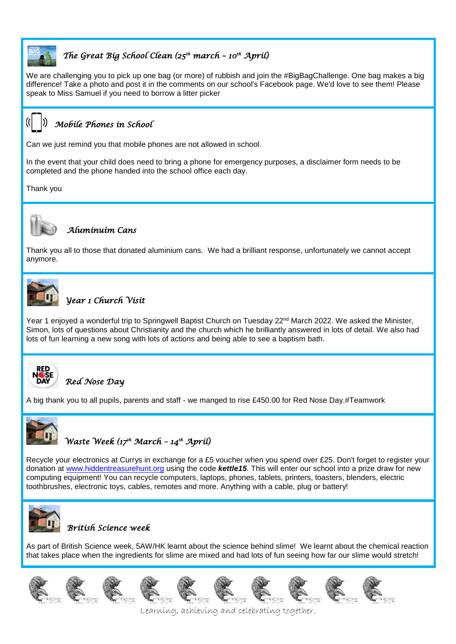

# *The Great Big School Clean (25th march – 10th April)*

We are challenging you to pick up one bag (or more) of rubbish and join the #BigBagChallenge. One bag makes a big difference! Take a photo and post it in the comments on our school's Facebook page. We'd love to see them! Please speak to Miss Samuel if you need to borrow a litter picker



### *Mobile Phones in School*

Can we just remind you that mobile phones are not allowed in school.

In the event that your child does need to bring a phone for emergency purposes, a disclaimer form needs to be completed and the phone handed into the school office each day.

Thank you



#### *Aluminuim Cans*

Thank you all to those that donated aluminium cans. We had a brilliant response, unfortunately we cannot accept anymore.



# *Year 1 Church Visit*

Year 1 enjoyed a wonderful trip to Springwell Baptist Church on Tuesday 22<sup>nd</sup> March 2022. We asked the Minister, Simon, lots of questions about Christianity and the church which he brilliantly answered in lots of detail. We also had lots of fun learning a new song with lots of actions and being able to see a baptism bath.



## *Red Nose Day*

A big thank you to all pupils, parents and staff - we manged to rise £450.00 for Red Nose Day.#Teamwork



# *Waste Week (17th March – 14th April)*

Recycle your electronics at Currys in exchange for a £5 voucher when you spend over £25. Don't forget to register your donation at [www.hiddentreasurehunt.org](http://www.hiddentreasurehunt.org/) using the code *kettle15.* This will enter our school into a prize draw for new computing equipment! You can recycle computers, laptops, phones, tablets, printers, toasters, blenders, electric toothbrushes, electronic toys, cables, remotes and more. Anything with a cable, plug or battery!



#### *British Science week*

As part of British Science week, 5AW/HK learnt about the science behind slime! We learnt about the chemical reaction that takes place when the ingredients for slime are mixed and had lots of fun seeing how far our slime would stretch!

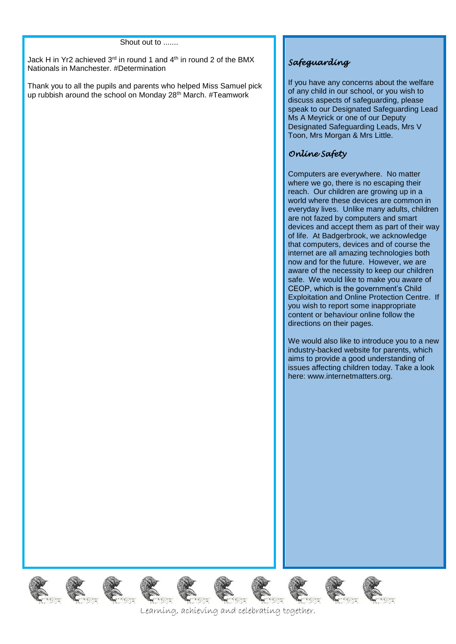#### Shout out to .......

Jack H in Yr2 achieved  $3<sup>rd</sup>$  in round 1 and  $4<sup>th</sup>$  in round 2 of the BMX Nationals in Manchester. #Determination

Thank you to all the pupils and parents who helped Miss Samuel pick up rubbish around the school on Monday 28th March. #Teamwork

#### *Safeguarding*

If you have any concerns about the welfare of any child in our school, or you wish to discuss aspects of safeguarding, please speak to our Designated Safeguarding Lead Ms A Meyrick or one of our Deputy Designated Safeguarding Leads, Mrs V Toon, Mrs Morgan & Mrs Little.

#### *Online Safety*

Computers are everywhere. No matter where we go, there is no escaping their reach. Our children are growing up in a world where these devices are common in everyday lives. Unlike many adults, children are not fazed by computers and smart devices and accept them as part of their way of life. At Badgerbrook, we acknowledge that computers, devices and of course the internet are all amazing technologies both now and for the future. However, we are aware of the necessity to keep our children safe. We would like to make you aware of CEOP, which is the government's Child Exploitation and Online Protection Centre. If you wish to report some inappropriate content or behaviour online follow the directions on their pages.

We would also like to introduce you to a new industry-backed website for parents, which aims to provide a good understanding of issues affecting children today. Take a look here: www.internetmatters.org.

2 象 象